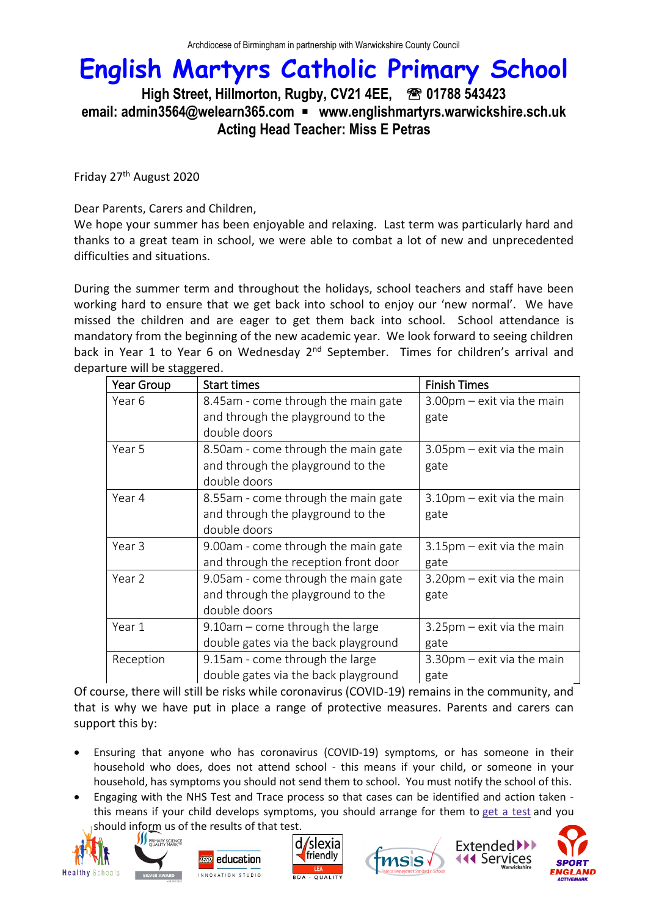### **High Street, Hillmorton, Rugby, CV21 4EE, 01788 543423 email: admin3564@welearn365.com** ▪ **www.englishmartyrs.warwickshire.sch.uk Acting Head Teacher: Miss E Petras**

Friday 27th August 2020

Dear Parents, Carers and Children,

We hope your summer has been enjoyable and relaxing. Last term was particularly hard and thanks to a great team in school, we were able to combat a lot of new and unprecedented difficulties and situations.

During the summer term and throughout the holidays, school teachers and staff have been working hard to ensure that we get back into school to enjoy our 'new normal'. We have missed the children and are eager to get them back into school. School attendance is mandatory from the beginning of the new academic year. We look forward to seeing children back in Year 1 to Year 6 on Wednesday 2<sup>nd</sup> September. Times for children's arrival and departure will be staggered.

| Year Group | <b>Start times</b>                   | <b>Finish Times</b>             |
|------------|--------------------------------------|---------------------------------|
| Year 6     | 8.45am - come through the main gate  | $3.00$ pm $-$ exit via the main |
|            | and through the playground to the    | gate                            |
|            | double doors                         |                                 |
| Year 5     | 8.50am - come through the main gate  | $3.05$ pm $-$ exit via the main |
|            | and through the playground to the    | gate                            |
|            | double doors                         |                                 |
| Year 4     | 8.55am - come through the main gate  | $3.10$ pm – exit via the main   |
|            | and through the playground to the    | gate                            |
|            | double doors                         |                                 |
| Year 3     | 9.00am - come through the main gate  | $3.15$ pm – exit via the main   |
|            | and through the reception front door | gate                            |
| Year 2     | 9.05am - come through the main gate  | 3.20pm - exit via the main      |
|            | and through the playground to the    | gate                            |
|            | double doors                         |                                 |
| Year 1     | $9.10$ am – come through the large   | 3.25pm – exit via the main      |
|            | double gates via the back playground | gate                            |
| Reception  | 9.15am - come through the large      | $3.30$ pm $-$ exit via the main |
|            | double gates via the back playground | gate                            |

Of course, there will still be risks while coronavirus (COVID-19) remains in the community, and that is why we have put in place a range of protective measures. Parents and carers can support this by:

- Ensuring that anyone who has coronavirus (COVID-19) symptoms, or has someone in their household who does, does not attend school - this means if your child, or someone in your household, has symptoms you should not send them to school. You must notify the school of this.
- Engaging with the NHS Test and Trace process so that cases can be identified and action taken this means if your child develops symptoms, you should arrange for them to get a [test](https://www.nhs.uk/conditions/coronavirus-covid-19/testing-and-tracing/) and you should inform us of the results of that test.









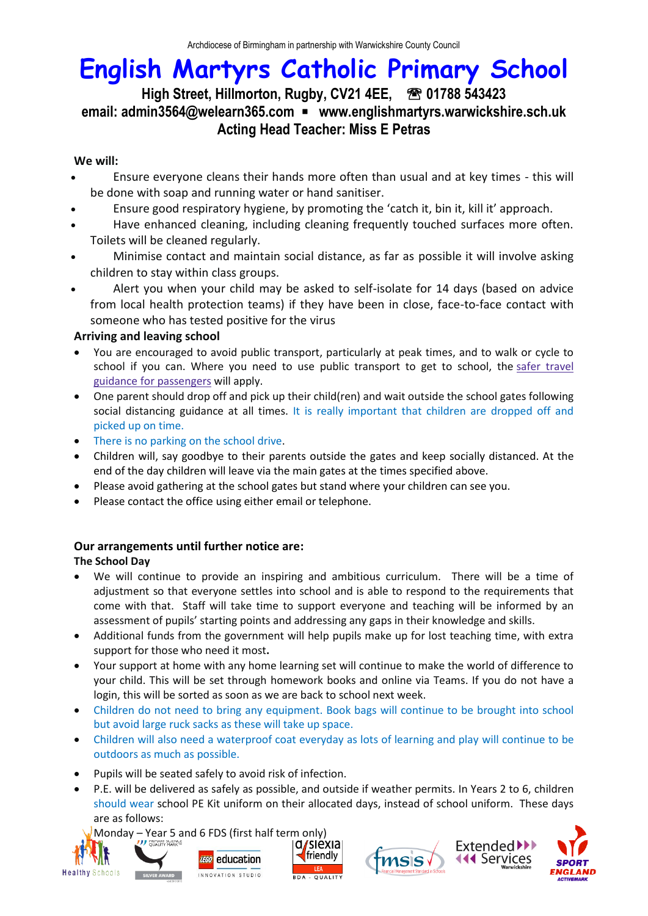### **High Street, Hillmorton, Rugby, CV21 4EE, 01788 543423 email: admin3564@welearn365.com** ▪ **www.englishmartyrs.warwickshire.sch.uk Acting Head Teacher: Miss E Petras**

### **We will:**

- Ensure everyone cleans their hands more often than usual and at key times this will be done with soap and running water or hand sanitiser.
- Ensure good respiratory hygiene, by promoting the 'catch it, bin it, kill it' approach.
- Have enhanced cleaning, including cleaning frequently touched surfaces more often. Toilets will be cleaned regularly.
- Minimise contact and maintain social distance, as far as possible it will involve asking children to stay within class groups.
- Alert you when your child may be asked to self-isolate for 14 days (based on advice from local health protection teams) if they have been in close, face-to-face contact with someone who has tested positive for the virus

### **Arriving and leaving school**

- You are encouraged to avoid public transport, particularly at peak times, and to walk or cycle to school if you can. Where you need to use public transport to get to school, the safer [travel](https://www.gov.uk/guidance/coronavirus-covid-19-safer-travel-guidance-for-passengers) guidance for [passengers](https://www.gov.uk/guidance/coronavirus-covid-19-safer-travel-guidance-for-passengers) will apply.
- One parent should drop off and pick up their child(ren) and wait outside the school gates following social distancing guidance at all times. It is really important that children are dropped off and picked up on time.
- There is no parking on the school drive.
- Children will, say goodbye to their parents outside the gates and keep socially distanced. At the end of the day children will leave via the main gates at the times specified above.
- Please avoid gathering at the school gates but stand where your children can see you.
- Please contact the office using either email or telephone.

### **Our arrangements until further notice are:**

### **The School Day**

- We will continue to provide an inspiring and ambitious curriculum. There will be a time of adjustment so that everyone settles into school and is able to respond to the requirements that come with that. Staff will take time to support everyone and teaching will be informed by an assessment of pupils' starting points and addressing any gaps in their knowledge and skills.
- Additional funds from the government will help pupils make up for lost teaching time, with extra support for those who need it most**.**
- Your support at home with any home learning set will continue to make the world of difference to your child. This will be set through homework books and online via Teams. If you do not have a login, this will be sorted as soon as we are back to school next week.
- Children do not need to bring any equipment. Book bags will continue to be brought into school but avoid large ruck sacks as these will take up space.
- Children will also need a waterproof coat everyday as lots of learning and play will continue to be outdoors as much as possible.
- Pupils will be seated safely to avoid risk of infection.
- P.E. will be delivered as safely as possible, and outside if weather permits. In Years 2 to 6, children should wear school PE Kit uniform on their allocated days, instead of school uniform. These days are as follows:

Monday – Year 5 and 6 FDS (first half term only)<br>**My SUCCOLLAN HARM** (**Q/SIEXIA** 









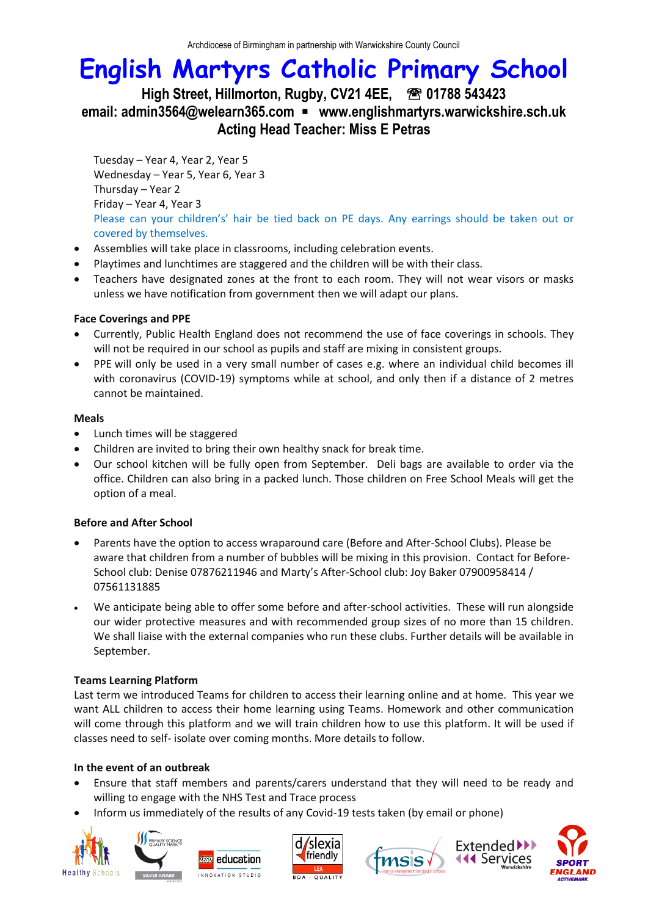**High Street, Hillmorton, Rugby, CV21 4EE, 01788 543423 email: admin3564@welearn365.com** ▪ **www.englishmartyrs.warwickshire.sch.uk Acting Head Teacher: Miss E Petras**

Tuesday – Year 4, Year 2, Year 5 Wednesday – Year 5, Year 6, Year 3 Thursday – Year 2 Friday – Year 4, Year 3 Please can your children's' hair be tied back on PE days. Any earrings should be taken out or covered by themselves.

- Assemblies will take place in classrooms, including celebration events.
- Playtimes and lunchtimes are staggered and the children will be with their class.
- Teachers have designated zones at the front to each room. They will not wear visors or masks unless we have notification from government then we will adapt our plans.

#### **Face Coverings and PPE**

- Currently, Public Health England does not recommend the use of face coverings in schools. They will not be required in our school as pupils and staff are mixing in consistent groups.
- PPE will only be used in a very small number of cases e.g. where an individual child becomes ill with coronavirus (COVID-19) symptoms while at school, and only then if a distance of 2 metres cannot be maintained.

### **Meals**

- Lunch times will be staggered
- Children are invited to bring their own healthy snack for break time.
- Our school kitchen will be fully open from September. Deli bags are available to order via the office. Children can also bring in a packed lunch. Those children on Free School Meals will get the option of a meal.

### **Before and After School**

- Parents have the option to access wraparound care (Before and After-School Clubs). Please be aware that children from a number of bubbles will be mixing in this provision. Contact for Before-School club: Denise 07876211946 and Marty's After-School club: Joy Baker 07900958414 / 07561131885
- We anticipate being able to offer some before and after-school activities. These will run alongside our wider protective measures and with recommended group sizes of no more than 15 children. We shall liaise with the external companies who run these clubs. Further details will be available in September.

#### **Teams Learning Platform**

Last term we introduced Teams for children to access their learning online and at home. This year we want ALL children to access their home learning using Teams. Homework and other communication will come through this platform and we will train children how to use this platform. It will be used if classes need to self- isolate over coming months. More details to follow.

### **In the event of an outbreak**

- Ensure that staff members and parents/carers understand that they will need to be ready and willing to engage with the NHS Test and Trace process
- Inform us immediately of the results of any Covid-19 tests taken (by email or phone)